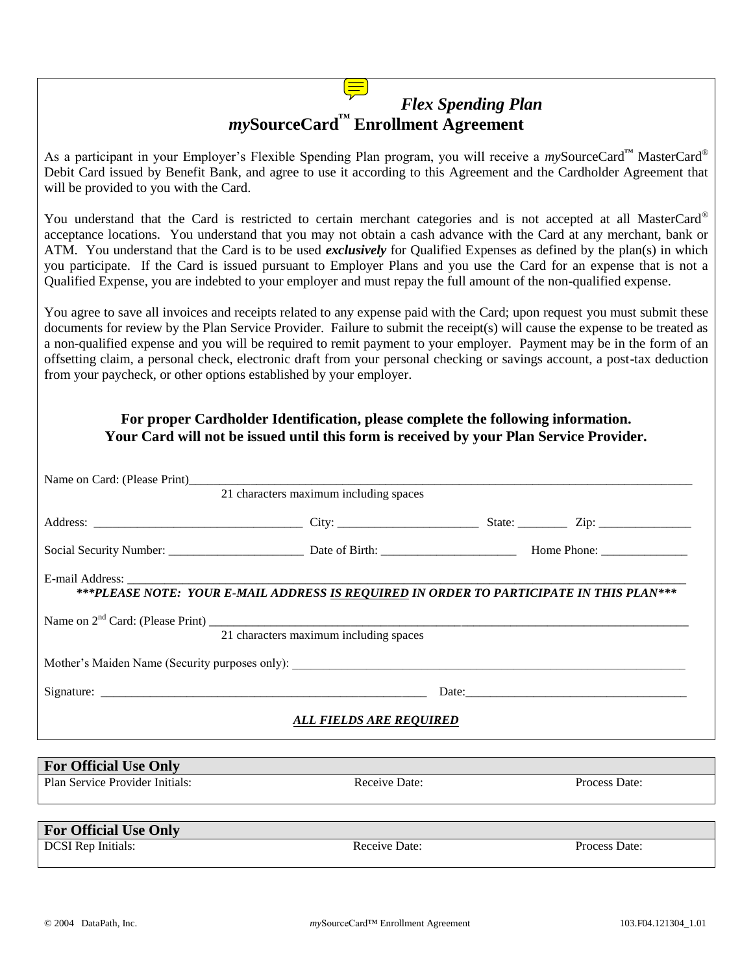## *Flex Spending Plan my***SourceCard™ Enrollment Agreement**

As a participant in your Employer's Flexible Spending Plan program, you will receive a *my*SourceCard**™** MasterCard® Debit Card issued by Benefit Bank, and agree to use it according to this Agreement and the Cardholder Agreement that will be provided to you with the Card.

You understand that the Card is restricted to certain merchant categories and is not accepted at all MasterCard® acceptance locations. You understand that you may not obtain a cash advance with the Card at any merchant, bank or ATM. You understand that the Card is to be used *exclusively* for Qualified Expenses as defined by the plan(s) in which you participate. If the Card is issued pursuant to Employer Plans and you use the Card for an expense that is not a Qualified Expense, you are indebted to your employer and must repay the full amount of the non-qualified expense.

You agree to save all invoices and receipts related to any expense paid with the Card; upon request you must submit these documents for review by the Plan Service Provider. Failure to submit the receipt(s) will cause the expense to be treated as a non-qualified expense and you will be required to remit payment to your employer. Payment may be in the form of an offsetting claim, a personal check, electronic draft from your personal checking or savings account, a post-tax deduction from your paycheck, or other options established by your employer.

## **For proper Cardholder Identification, please complete the following information. Your Card will not be issued until this form is received by your Plan Service Provider.**

| 21 characters maximum including spaces                                                                                                     |               |  |
|--------------------------------------------------------------------------------------------------------------------------------------------|---------------|--|
|                                                                                                                                            |               |  |
|                                                                                                                                            |               |  |
| ***PLEASE NOTE: YOUR E-MAIL ADDRESS IS REQUIRED IN ORDER TO PARTICIPATE IN THIS PLAN***                                                    |               |  |
| Name on $2nd$ Card: (Please Print) $\frac{21 \text{ characters maximum including spaces}}{21 \text{ characters maximum including spaces}}$ |               |  |
|                                                                                                                                            |               |  |
|                                                                                                                                            |               |  |
| ALL FIELDS ARE REQUIRED                                                                                                                    |               |  |
|                                                                                                                                            |               |  |
| Receive Date:                                                                                                                              | Process Date: |  |
|                                                                                                                                            |               |  |
|                                                                                                                                            |               |  |
| Receive Date:                                                                                                                              | Process Date: |  |
|                                                                                                                                            |               |  |